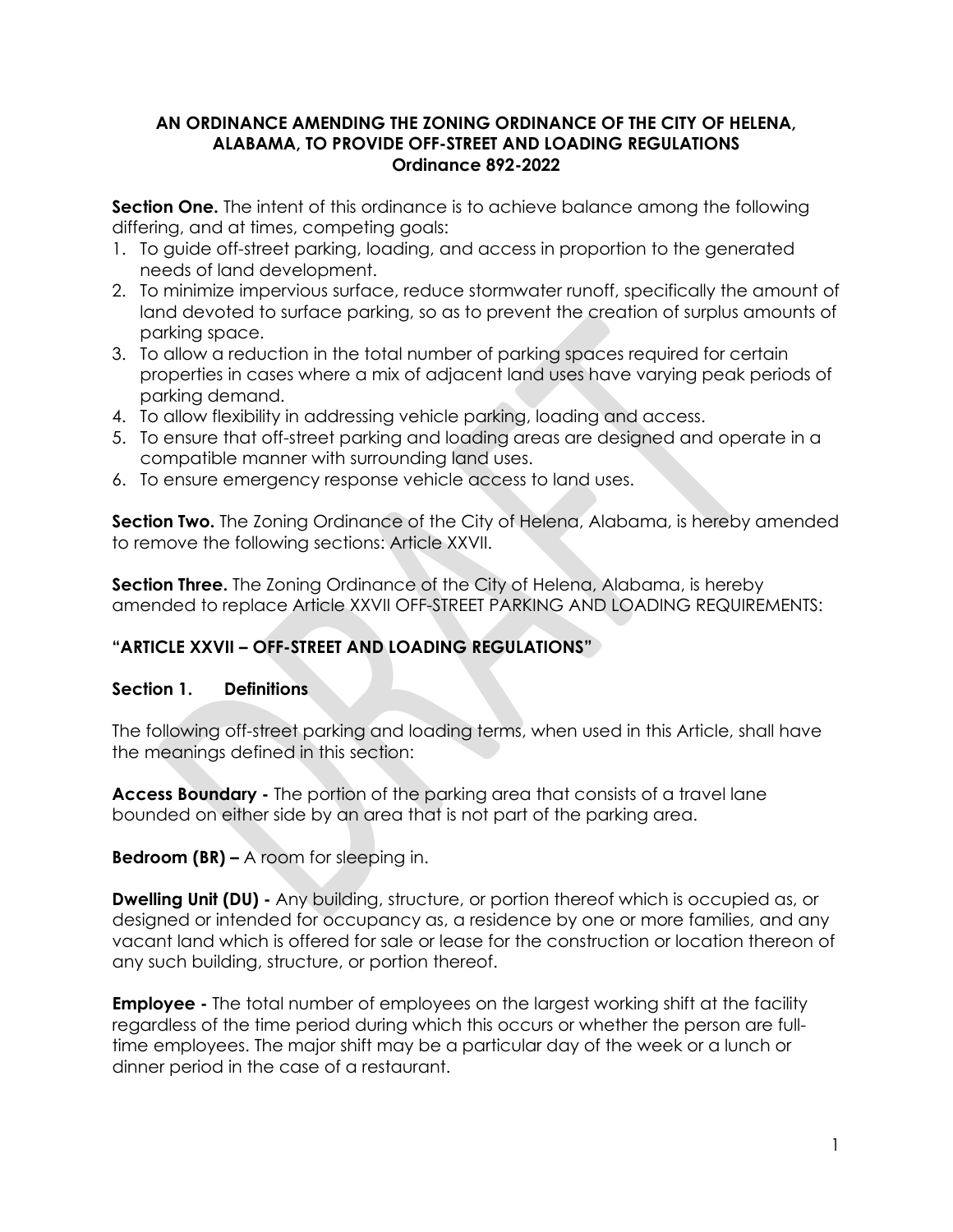#### **AN ORDINANCE AMENDING THE ZONING ORDINANCE OF THE CITY OF HELENA, ALABAMA, TO PROVIDE OFF-STREET AND LOADING REGULATIONS Ordinance 892-2022**

**Section One.** The intent of this ordinance is to achieve balance among the following differing, and at times, competing goals:

- 1. To guide off-street parking, loading, and access in proportion to the generated needs of land development.
- 2. To minimize impervious surface, reduce stormwater runoff, specifically the amount of land devoted to surface parking, so as to prevent the creation of surplus amounts of parking space.
- 3. To allow a reduction in the total number of parking spaces required for certain properties in cases where a mix of adjacent land uses have varying peak periods of parking demand.
- 4. To allow flexibility in addressing vehicle parking, loading and access.
- 5. To ensure that off-street parking and loading areas are designed and operate in a compatible manner with surrounding land uses.
- 6. To ensure emergency response vehicle access to land uses.

**Section Two.** The Zoning Ordinance of the City of Helena, Alabama, is hereby amended to remove the following sections: Article XXVII.

**Section Three.** The Zoning Ordinance of the City of Helena, Alabama, is hereby amended to replace Article XXVII OFF-STREET PARKING AND LOADING REQUIREMENTS:

# **"ARTICLE XXVII – OFF-STREET AND LOADING REGULATIONS"**

## **Section 1. Definitions**

The following off-street parking and loading terms, when used in this Article, shall have the meanings defined in this section:

**Access Boundary -** The portion of the parking area that consists of a travel lane bounded on either side by an area that is not part of the parking area.

**Bedroom (BR) –** A room for sleeping in.

**Dwelling Unit (DU) -** Any building, structure, or portion thereof which is occupied as, or designed or intended for occupancy as, a residence by one or more families, and any vacant land which is offered for sale or lease for the construction or location thereon of any such building, structure, or portion thereof.

**Employee -** The total number of employees on the largest working shift at the facility regardless of the time period during which this occurs or whether the person are fulltime employees. The major shift may be a particular day of the week or a lunch or dinner period in the case of a restaurant.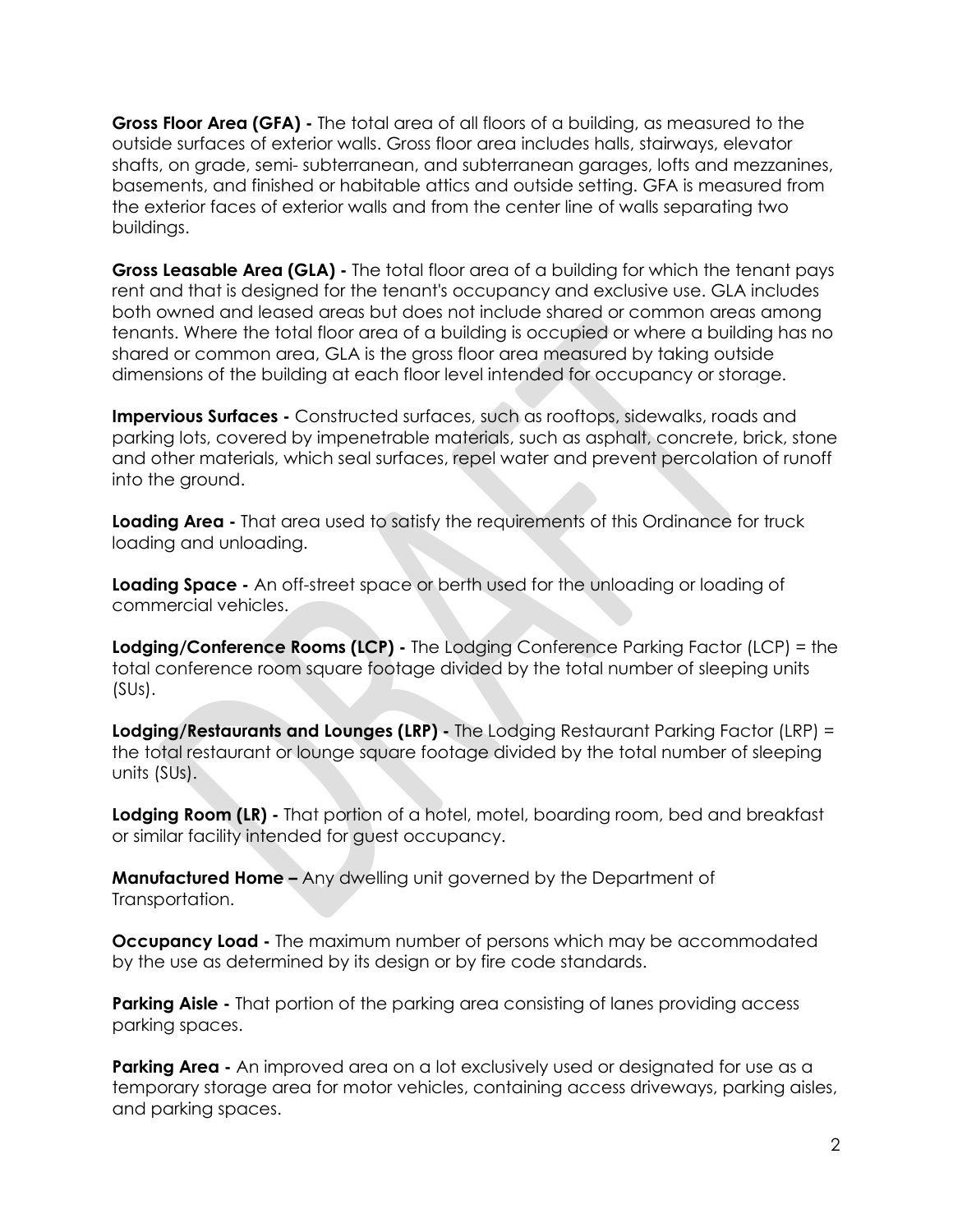**Gross Floor Area (GFA) -** The total area of all floors of a building, as measured to the outside surfaces of exterior walls. Gross floor area includes halls, stairways, elevator shafts, on grade, semi- subterranean, and subterranean garages, lofts and mezzanines, basements, and finished or habitable attics and outside setting. GFA is measured from the exterior faces of exterior walls and from the center line of walls separating two buildings.

**Gross Leasable Area (GLA) -** The total floor area of a building for which the tenant pays rent and that is designed for the tenant's occupancy and exclusive use. GLA includes both owned and leased areas but does not include shared or common areas among tenants. Where the total floor area of a building is occupied or where a building has no shared or common area, GLA is the gross floor area measured by taking outside dimensions of the building at each floor level intended for occupancy or storage.

**Impervious Surfaces -** Constructed surfaces, such as rooftops, sidewalks, roads and parking lots, covered by impenetrable materials, such as asphalt, concrete, brick, stone and other materials, which seal surfaces, repel water and prevent percolation of runoff into the ground.

**Loading Area -** That area used to satisfy the requirements of this Ordinance for truck loading and unloading.

**Loading Space -** An off-street space or berth used for the unloading or loading of commercial vehicles.

**Lodging/Conference Rooms (LCP) -** The Lodging Conference Parking Factor (LCP) = the total conference room square footage divided by the total number of sleeping units (SUs).

**Lodging/Restaurants and Lounges (LRP) -** The Lodging Restaurant Parking Factor (LRP) = the total restaurant or lounge square footage divided by the total number of sleeping units (SUs).

**Lodging Room (LR) -** That portion of a hotel, motel, boarding room, bed and breakfast or similar facility intended for guest occupancy.

**Manufactured Home –** Any dwelling unit governed by the Department of Transportation.

**Occupancy Load -** The maximum number of persons which may be accommodated by the use as determined by its design or by fire code standards.

**Parking Aisle -** That portion of the parking area consisting of lanes providing access parking spaces.

**Parking Area -** An improved area on a lot exclusively used or designated for use as a temporary storage area for motor vehicles, containing access driveways, parking aisles, and parking spaces.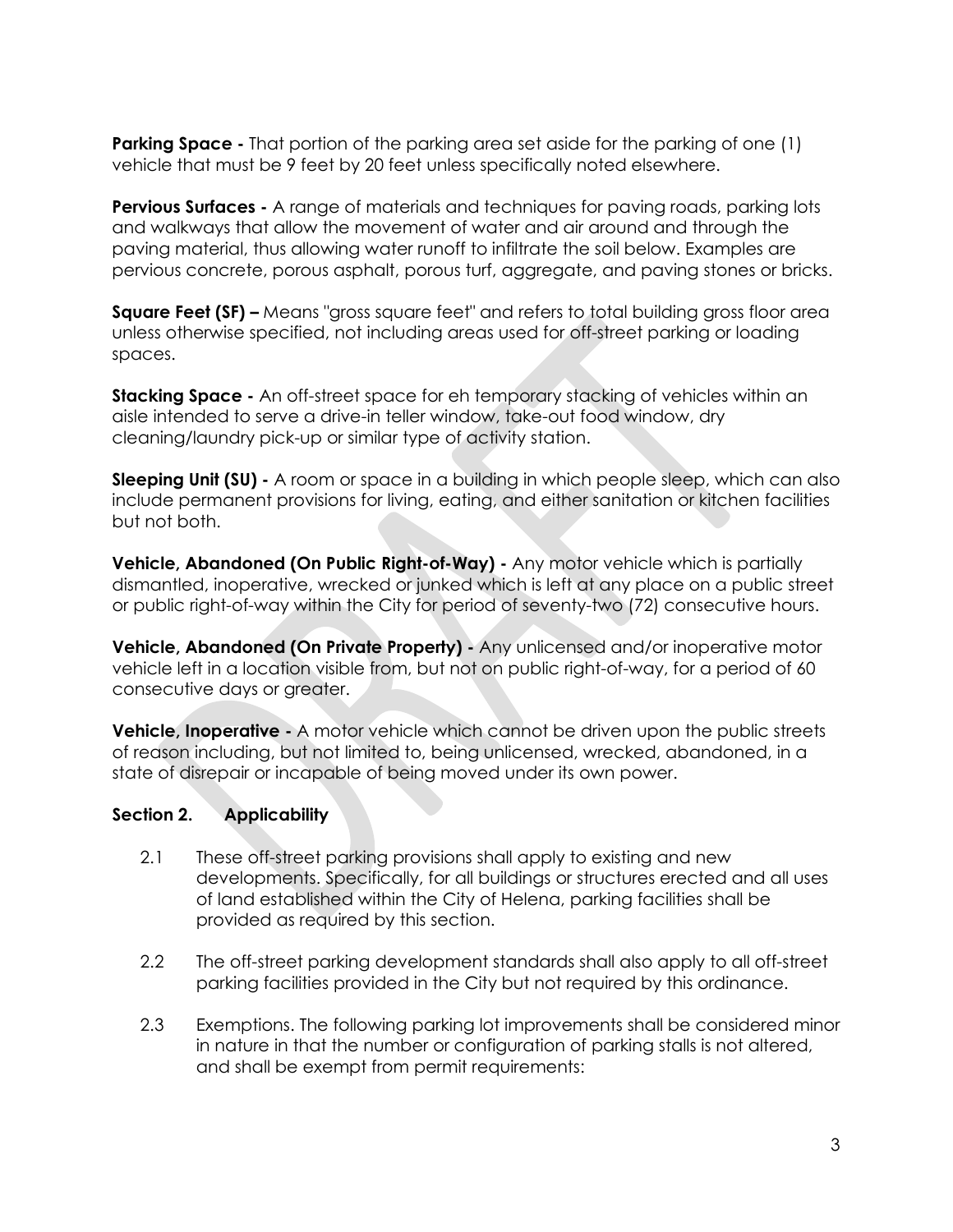**Parking Space -** That portion of the parking area set aside for the parking of one (1) vehicle that must be 9 feet by 20 feet unless specifically noted elsewhere.

**Pervious Surfaces -** A range of materials and techniques for paving roads, parking lots and walkways that allow the movement of water and air around and through the paving material, thus allowing water runoff to infiltrate the soil below. Examples are pervious concrete, porous asphalt, porous turf, aggregate, and paving stones or bricks.

**Square Feet (SF) –** Means "gross square feet" and refers to total building gross floor area unless otherwise specified, not including areas used for off-street parking or loading spaces.

**Stacking Space -** An off-street space for eh temporary stacking of vehicles within an aisle intended to serve a drive-in teller window, take-out food window, dry cleaning/laundry pick-up or similar type of activity station.

**Sleeping Unit (SU) -** A room or space in a building in which people sleep, which can also include permanent provisions for living, eating, and either sanitation or kitchen facilities but not both.

**Vehicle, Abandoned (On Public Right-of-Way) -** Any motor vehicle which is partially dismantled, inoperative, wrecked or junked which is left at any place on a public street or public right-of-way within the City for period of seventy-two (72) consecutive hours.

**Vehicle, Abandoned (On Private Property) -** Any unlicensed and/or inoperative motor vehicle left in a location visible from, but not on public right-of-way, for a period of 60 consecutive days or greater.

**Vehicle, Inoperative -** A motor vehicle which cannot be driven upon the public streets of reason including, but not limited to, being unlicensed, wrecked, abandoned, in a state of disrepair or incapable of being moved under its own power.

## **Section 2. Applicability**

- 2.1 These off-street parking provisions shall apply to existing and new developments. Specifically, for all buildings or structures erected and all uses of land established within the City of Helena, parking facilities shall be provided as required by this section.
- 2.2 The off-street parking development standards shall also apply to all off-street parking facilities provided in the City but not required by this ordinance.
- 2.3 Exemptions. The following parking lot improvements shall be considered minor in nature in that the number or configuration of parking stalls is not altered, and shall be exempt from permit requirements: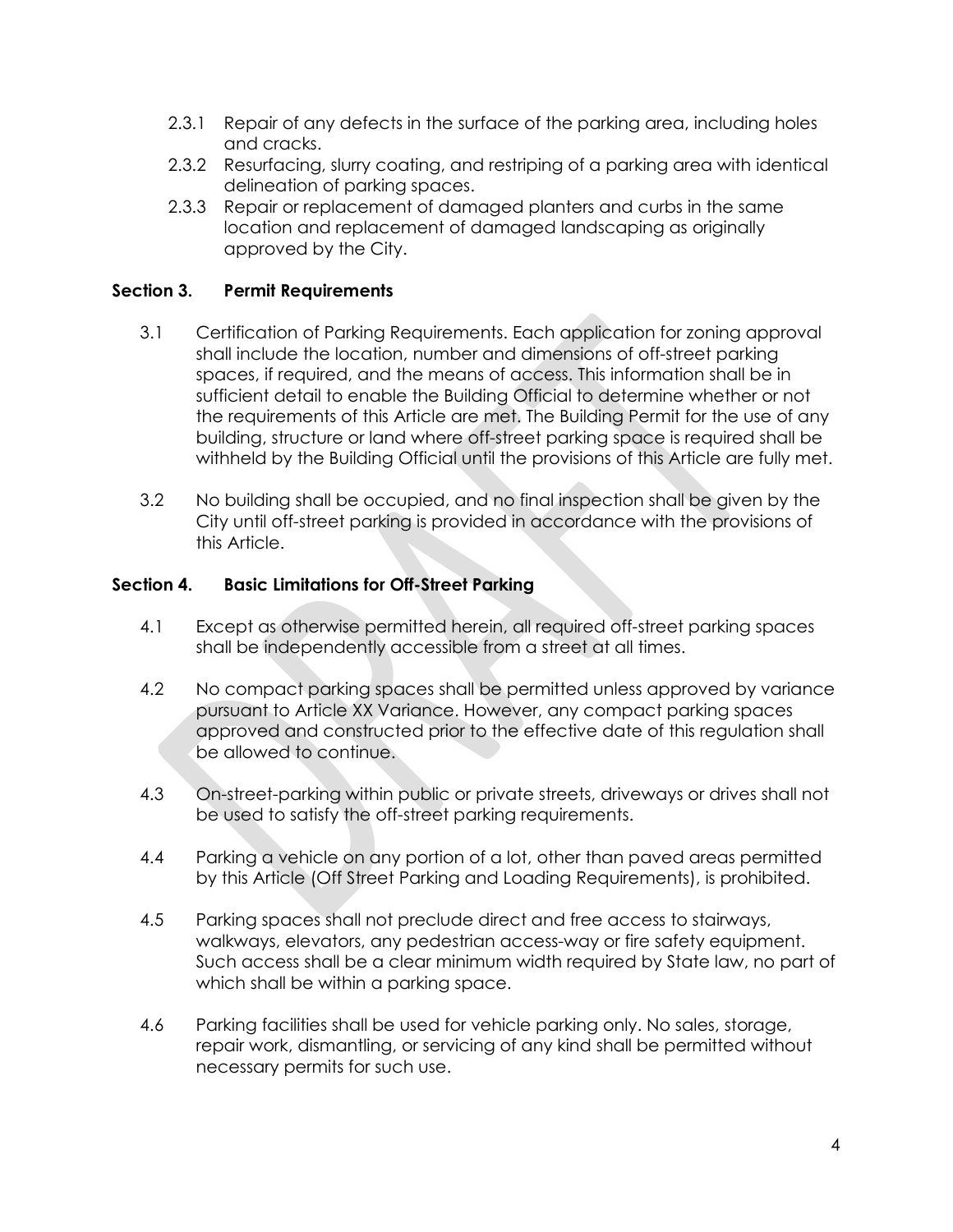- 2.3.1 Repair of any defects in the surface of the parking area, including holes and cracks.
- 2.3.2 Resurfacing, slurry coating, and restriping of a parking area with identical delineation of parking spaces.
- 2.3.3 Repair or replacement of damaged planters and curbs in the same location and replacement of damaged landscaping as originally approved by the City.

## **Section 3. Permit Requirements**

- 3.1 Certification of Parking Requirements. Each application for zoning approval shall include the location, number and dimensions of off-street parking spaces, if required, and the means of access. This information shall be in sufficient detail to enable the Building Official to determine whether or not the requirements of this Article are met. The Building Permit for the use of any building, structure or land where off-street parking space is required shall be withheld by the Building Official until the provisions of this Article are fully met.
- 3.2 No building shall be occupied, and no final inspection shall be given by the City until off-street parking is provided in accordance with the provisions of this Article.

#### **Section 4. Basic Limitations for Off-Street Parking**

- 4.1 Except as otherwise permitted herein, all required off-street parking spaces shall be independently accessible from a street at all times.
- 4.2 No compact parking spaces shall be permitted unless approved by variance pursuant to Article XX Variance. However, any compact parking spaces approved and constructed prior to the effective date of this regulation shall be allowed to continue.
- 4.3 On-street-parking within public or private streets, driveways or drives shall not be used to satisfy the off-street parking requirements.
- 4.4 Parking a vehicle on any portion of a lot, other than paved areas permitted by this Article (Off Street Parking and Loading Requirements), is prohibited.
- 4.5 Parking spaces shall not preclude direct and free access to stairways, walkways, elevators, any pedestrian access-way or fire safety equipment. Such access shall be a clear minimum width required by State law, no part of which shall be within a parking space.
- 4.6 Parking facilities shall be used for vehicle parking only. No sales, storage, repair work, dismantling, or servicing of any kind shall be permitted without necessary permits for such use.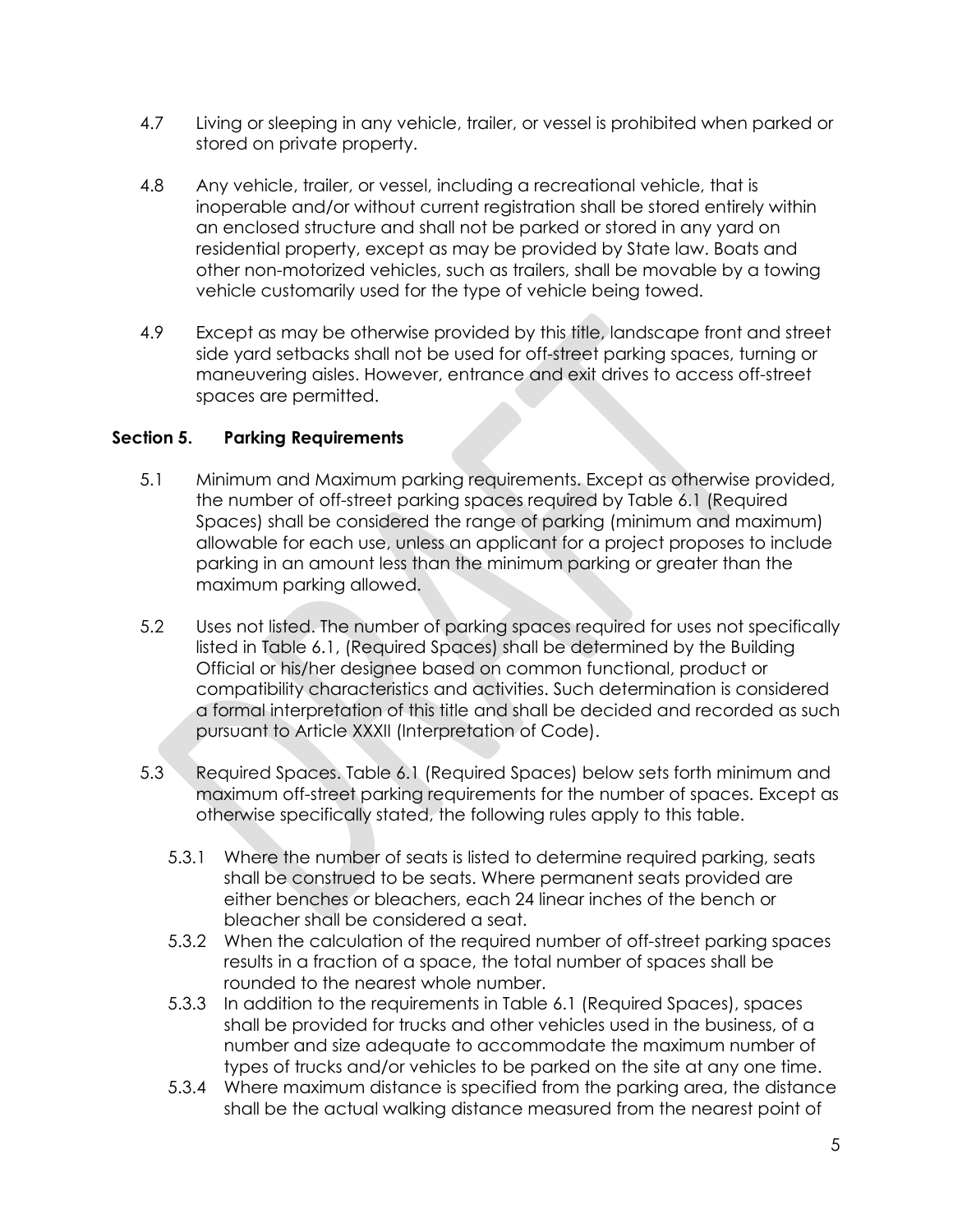- 4.7 Living or sleeping in any vehicle, trailer, or vessel is prohibited when parked or stored on private property.
- 4.8 Any vehicle, trailer, or vessel, including a recreational vehicle, that is inoperable and/or without current registration shall be stored entirely within an enclosed structure and shall not be parked or stored in any yard on residential property, except as may be provided by State law. Boats and other non-motorized vehicles, such as trailers, shall be movable by a towing vehicle customarily used for the type of vehicle being towed.
- 4.9 Except as may be otherwise provided by this title, landscape front and street side yard setbacks shall not be used for off-street parking spaces, turning or maneuvering aisles. However, entrance and exit drives to access off-street spaces are permitted.

## **Section 5. Parking Requirements**

- 5.1 Minimum and Maximum parking requirements. Except as otherwise provided, the number of off-street parking spaces required by Table 6.1 (Required Spaces) shall be considered the range of parking (minimum and maximum) allowable for each use, unless an applicant for a project proposes to include parking in an amount less than the minimum parking or greater than the maximum parking allowed.
- 5.2 Uses not listed. The number of parking spaces required for uses not specifically listed in Table 6.1, (Required Spaces) shall be determined by the Building Official or his/her designee based on common functional, product or compatibility characteristics and activities. Such determination is considered a formal interpretation of this title and shall be decided and recorded as such pursuant to Article XXXII (Interpretation of Code).
- 5.3 Required Spaces. Table 6.1 (Required Spaces) below sets forth minimum and maximum off-street parking requirements for the number of spaces. Except as otherwise specifically stated, the following rules apply to this table.
	- 5.3.1 Where the number of seats is listed to determine required parking, seats shall be construed to be seats. Where permanent seats provided are either benches or bleachers, each 24 linear inches of the bench or bleacher shall be considered a seat.
	- 5.3.2 When the calculation of the required number of off-street parking spaces results in a fraction of a space, the total number of spaces shall be rounded to the nearest whole number.
	- 5.3.3 In addition to the requirements in Table 6.1 (Required Spaces), spaces shall be provided for trucks and other vehicles used in the business, of a number and size adequate to accommodate the maximum number of types of trucks and/or vehicles to be parked on the site at any one time.
	- 5.3.4 Where maximum distance is specified from the parking area, the distance shall be the actual walking distance measured from the nearest point of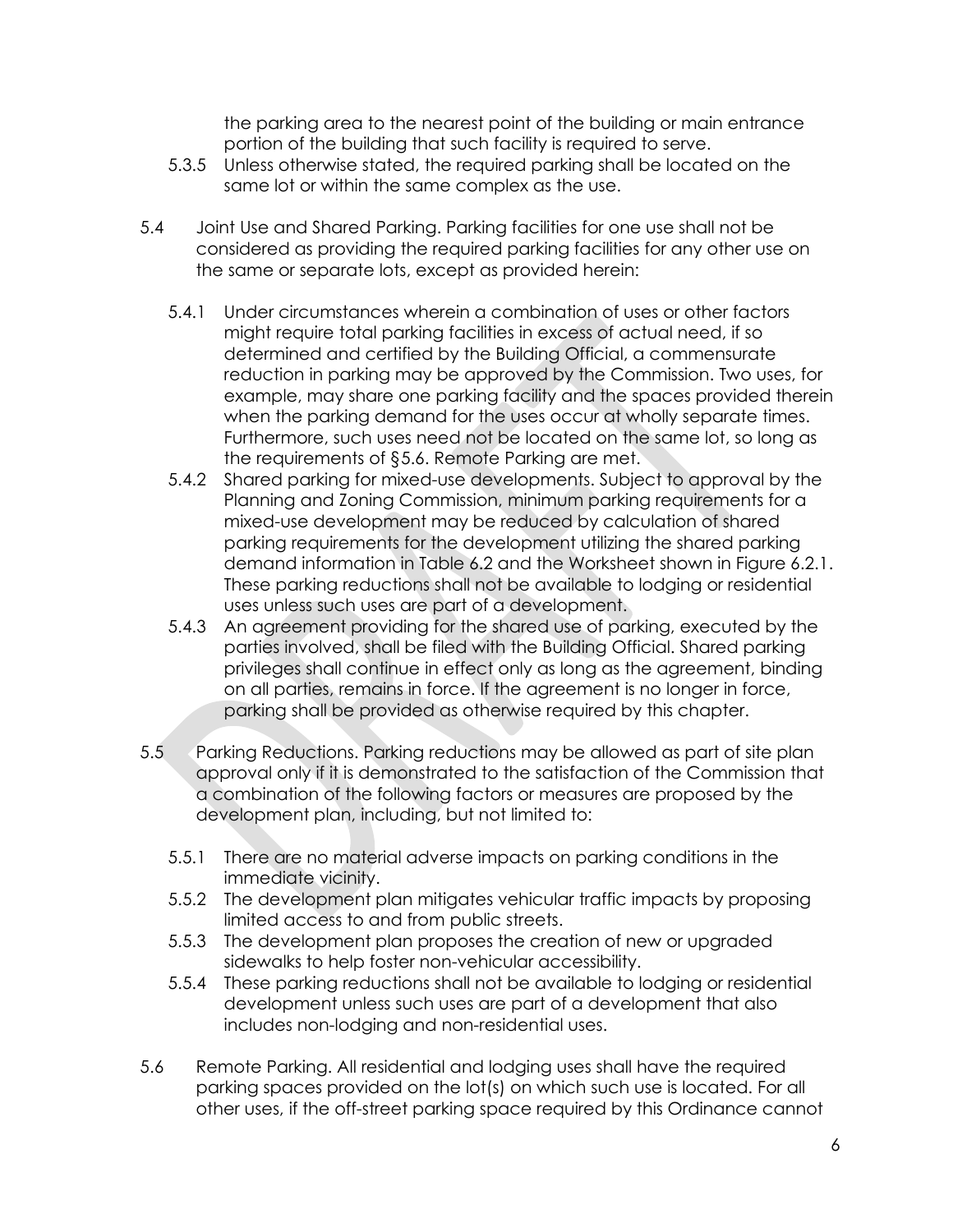the parking area to the nearest point of the building or main entrance portion of the building that such facility is required to serve.

- 5.3.5 Unless otherwise stated, the required parking shall be located on the same lot or within the same complex as the use.
- 5.4 Joint Use and Shared Parking. Parking facilities for one use shall not be considered as providing the required parking facilities for any other use on the same or separate lots, except as provided herein:
	- 5.4.1 Under circumstances wherein a combination of uses or other factors might require total parking facilities in excess of actual need, if so determined and certified by the Building Official, a commensurate reduction in parking may be approved by the Commission. Two uses, for example, may share one parking facility and the spaces provided therein when the parking demand for the uses occur at wholly separate times. Furthermore, such uses need not be located on the same lot, so long as the requirements of §5.6. Remote Parking are met.
	- 5.4.2 Shared parking for mixed-use developments. Subject to approval by the Planning and Zoning Commission, minimum parking requirements for a mixed-use development may be reduced by calculation of shared parking requirements for the development utilizing the shared parking demand information in Table 6.2 and the Worksheet shown in Figure 6.2.1. These parking reductions shall not be available to lodging or residential uses unless such uses are part of a development.
	- 5.4.3 An agreement providing for the shared use of parking, executed by the parties involved, shall be filed with the Building Official. Shared parking privileges shall continue in effect only as long as the agreement, binding on all parties, remains in force. If the agreement is no longer in force, parking shall be provided as otherwise required by this chapter.
- 5.5 Parking Reductions. Parking reductions may be allowed as part of site plan approval only if it is demonstrated to the satisfaction of the Commission that a combination of the following factors or measures are proposed by the development plan, including, but not limited to:
	- 5.5.1 There are no material adverse impacts on parking conditions in the immediate vicinity.
	- 5.5.2 The development plan mitigates vehicular traffic impacts by proposing limited access to and from public streets.
	- 5.5.3 The development plan proposes the creation of new or upgraded sidewalks to help foster non-vehicular accessibility.
	- 5.5.4 These parking reductions shall not be available to lodging or residential development unless such uses are part of a development that also includes non-lodging and non-residential uses.
- 5.6 Remote Parking. All residential and lodging uses shall have the required parking spaces provided on the lot(s) on which such use is located. For all other uses, if the off-street parking space required by this Ordinance cannot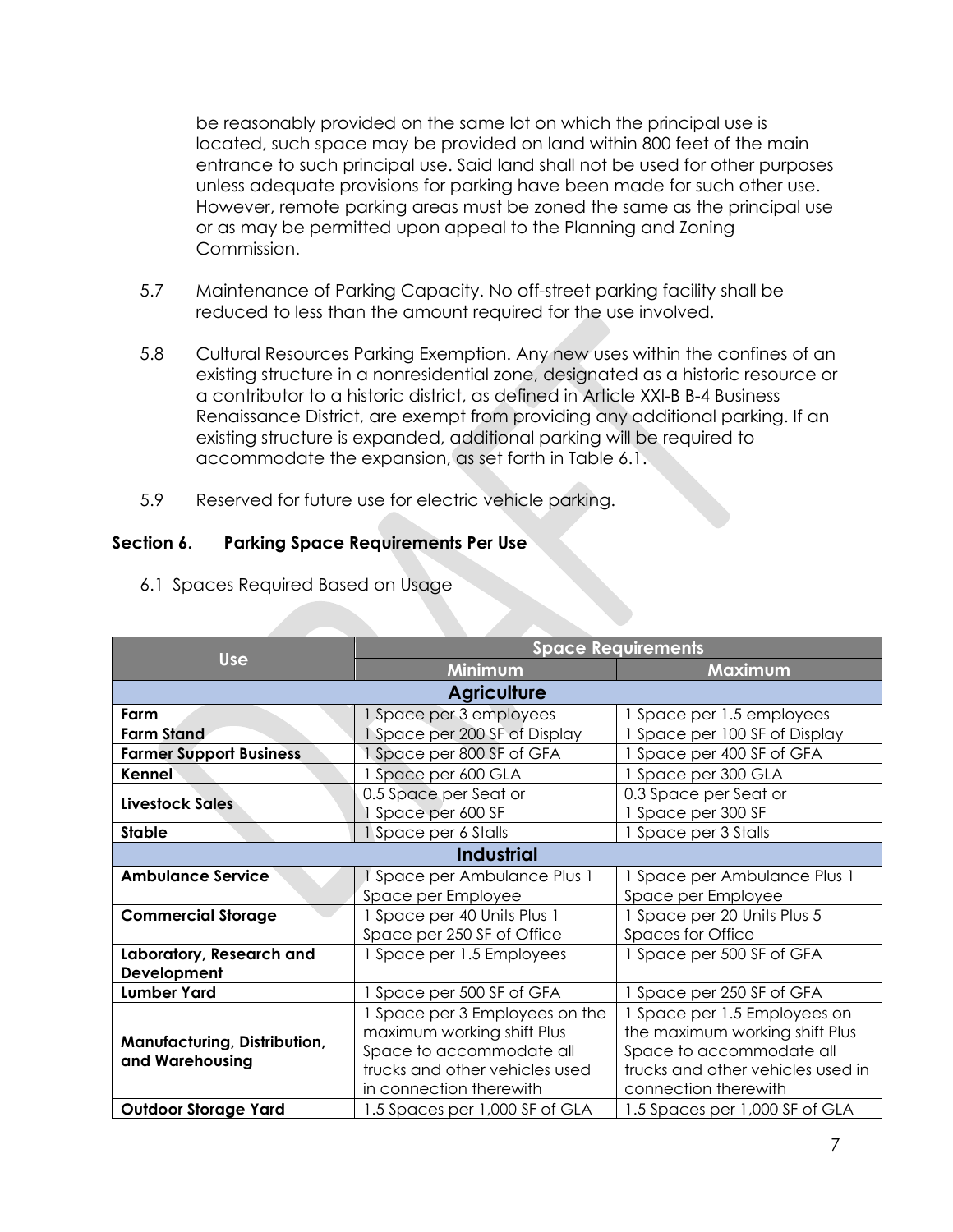be reasonably provided on the same lot on which the principal use is located, such space may be provided on land within 800 feet of the main entrance to such principal use. Said land shall not be used for other purposes unless adequate provisions for parking have been made for such other use. However, remote parking areas must be zoned the same as the principal use or as may be permitted upon appeal to the Planning and Zoning Commission.

- 5.7 Maintenance of Parking Capacity. No off-street parking facility shall be reduced to less than the amount required for the use involved.
- 5.8 Cultural Resources Parking Exemption. Any new uses within the confines of an existing structure in a nonresidential zone, designated as a historic resource or a contributor to a historic district, as defined in Article XXI-B B-4 Business Renaissance District, are exempt from providing any additional parking. If an existing structure is expanded, additional parking will be required to accommodate the expansion, as set forth in Table 6.1.
- 5.9 Reserved for future use for electric vehicle parking.

## **Section 6. Parking Space Requirements Per Use**

|                                                 | <b>Space Requirements</b>                 |                                             |  |  |  |  |
|-------------------------------------------------|-------------------------------------------|---------------------------------------------|--|--|--|--|
| <b>Use</b>                                      | Minimum                                   | <b>Maximum</b>                              |  |  |  |  |
| <b>Agriculture</b>                              |                                           |                                             |  |  |  |  |
| Farm                                            | Space per 3 employees                     | Space per 1.5 employees                     |  |  |  |  |
| <b>Farm Stand</b>                               | Space per 200 SF of Display               | Space per 100 SF of Display                 |  |  |  |  |
| <b>Farmer Support Business</b>                  | Space per 800 SF of GFA                   | Space per 400 SF of GFA                     |  |  |  |  |
| Kennel                                          | Space per 600 GLA                         | Space per 300 GLA                           |  |  |  |  |
| <b>Livestock Sales</b>                          | 0.5 Space per Seat or<br>Space per 600 SF | 0.3 Space per Seat or<br>1 Space per 300 SF |  |  |  |  |
| <b>Stable</b>                                   | 1 Space per 6 Stalls                      | Space per 3 Stalls                          |  |  |  |  |
| <b>Industrial</b>                               |                                           |                                             |  |  |  |  |
| <b>Ambulance Service</b>                        | Space per Ambulance Plus 1                | 1 Space per Ambulance Plus 1                |  |  |  |  |
|                                                 | Space per Employee                        | Space per Employee                          |  |  |  |  |
| <b>Commercial Storage</b>                       | 1 Space per 40 Units Plus 1               | 1 Space per 20 Units Plus 5                 |  |  |  |  |
|                                                 | Space per 250 SF of Office                | <b>Spaces for Office</b>                    |  |  |  |  |
| Laboratory, Research and                        | 1 Space per 1.5 Employees                 | Space per 500 SF of GFA                     |  |  |  |  |
| Development                                     |                                           |                                             |  |  |  |  |
| <b>Lumber Yard</b>                              | 1 Space per 500 SF of GFA                 | Space per 250 SF of GFA                     |  |  |  |  |
|                                                 | Space per 3 Employees on the              | Space per 1.5 Employees on                  |  |  |  |  |
| Manufacturing, Distribution,<br>and Warehousing | maximum working shift Plus                | the maximum working shift Plus              |  |  |  |  |
|                                                 | Space to accommodate all                  | Space to accommodate all                    |  |  |  |  |
|                                                 | trucks and other vehicles used            | trucks and other vehicles used in           |  |  |  |  |
|                                                 | in connection therewith                   | connection therewith                        |  |  |  |  |
| <b>Outdoor Storage Yard</b>                     | 1.5 Spaces per 1,000 SF of GLA            | 1.5 Spaces per 1,000 SF of GLA              |  |  |  |  |

6.1 Spaces Required Based on Usage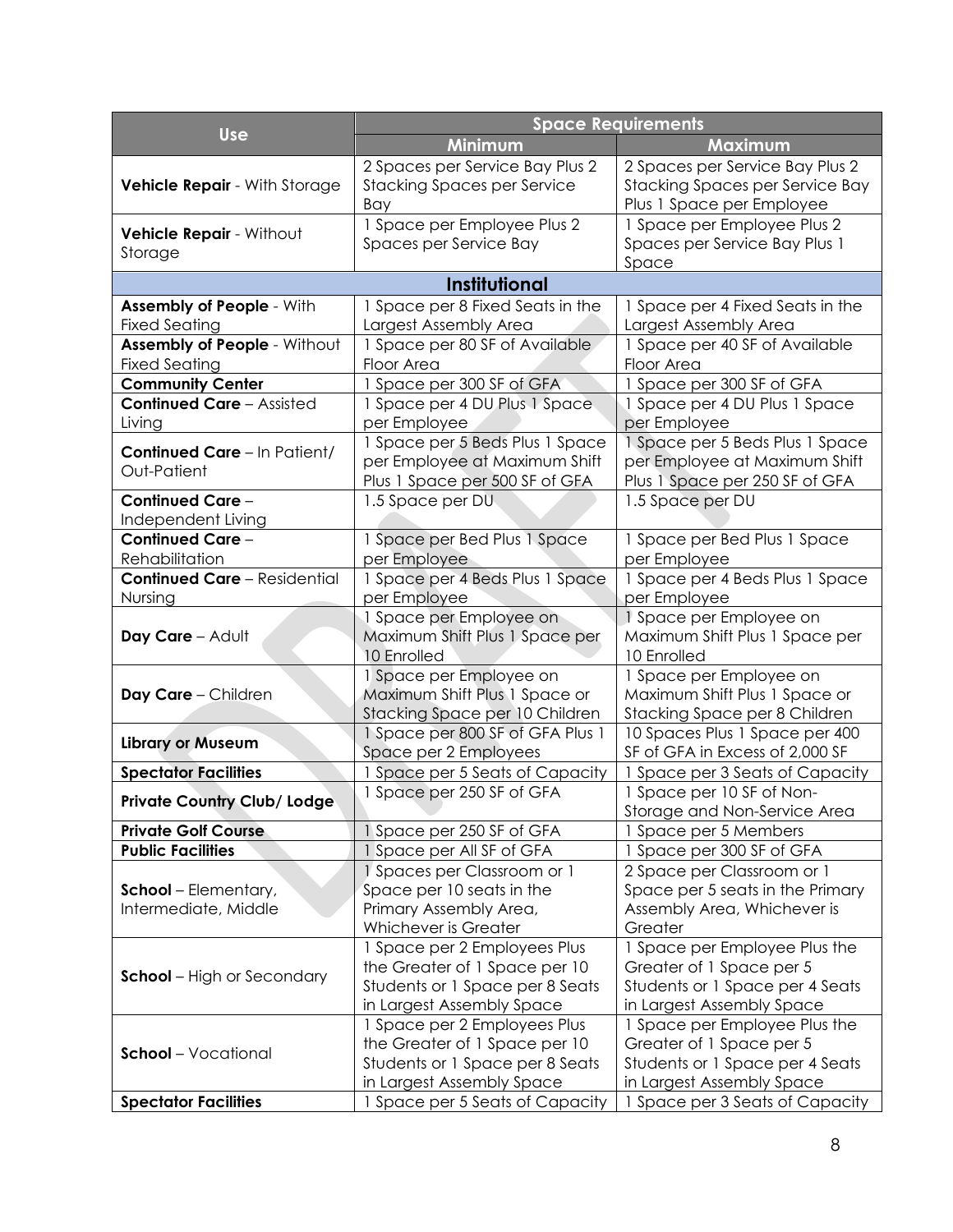|                                                          | <b>Space Requirements</b>                                                                                                      |                                                                                                                           |  |  |
|----------------------------------------------------------|--------------------------------------------------------------------------------------------------------------------------------|---------------------------------------------------------------------------------------------------------------------------|--|--|
| <b>Use</b>                                               | Minimum                                                                                                                        | Maximum                                                                                                                   |  |  |
| Vehicle Repair - With Storage                            | 2 Spaces per Service Bay Plus 2<br><b>Stacking Spaces per Service</b><br>Bay                                                   | 2 Spaces per Service Bay Plus 2<br>Stacking Spaces per Service Bay<br>Plus 1 Space per Employee                           |  |  |
| Vehicle Repair - Without<br>Storage                      | 1 Space per Employee Plus 2<br>1 Space per Employee Plus 2<br>Spaces per Service Bay Plus 1<br>Spaces per Service Bay<br>Space |                                                                                                                           |  |  |
|                                                          | <b>Institutional</b>                                                                                                           |                                                                                                                           |  |  |
| <b>Assembly of People - With</b><br><b>Fixed Seating</b> | 1 Space per 8 Fixed Seats in the<br>Largest Assembly Area                                                                      | 1 Space per 4 Fixed Seats in the<br>Largest Assembly Area                                                                 |  |  |
| Assembly of People - Without<br><b>Fixed Seating</b>     | 1 Space per 80 SF of Available<br>Floor Area                                                                                   | 1 Space per 40 SF of Available<br>Floor Area                                                                              |  |  |
| <b>Community Center</b>                                  | 1 Space per 300 SF of GFA                                                                                                      | 1 Space per 300 SF of GFA                                                                                                 |  |  |
| <b>Continued Care - Assisted</b><br>Living               | 1 Space per 4 DU Plus 1 Space<br>per Employee                                                                                  | 1 Space per 4 DU Plus 1 Space<br>per Employee                                                                             |  |  |
| <b>Continued Care - In Patient/</b><br>Out-Patient       | 1 Space per 5 Beds Plus 1 Space<br>per Employee at Maximum Shift<br>Plus 1 Space per 500 SF of GFA                             | 1 Space per 5 Beds Plus 1 Space<br>per Employee at Maximum Shift<br>Plus 1 Space per 250 SF of GFA                        |  |  |
| <b>Continued Care -</b><br>Independent Living            | 1.5 Space per DU                                                                                                               | 1.5 Space per DU                                                                                                          |  |  |
| <b>Continued Care -</b>                                  | 1 Space per Bed Plus 1 Space                                                                                                   | 1 Space per Bed Plus 1 Space                                                                                              |  |  |
| Rehabilitation                                           | per Employee                                                                                                                   | per Employee                                                                                                              |  |  |
| <b>Continued Care - Residential</b>                      | 1 Space per 4 Beds Plus 1 Space                                                                                                | 1 Space per 4 Beds Plus 1 Space                                                                                           |  |  |
| Nursing                                                  | per Employee                                                                                                                   | per Employee                                                                                                              |  |  |
| Day Care - Adult                                         | 1 Space per Employee on<br>Maximum Shift Plus 1 Space per<br>10 Enrolled                                                       | 1 Space per Employee on<br>Maximum Shift Plus 1 Space per<br>10 Enrolled                                                  |  |  |
| Day Care - Children                                      | 1 Space per Employee on<br>Maximum Shift Plus 1 Space or<br>Stacking Space per 10 Children                                     | 1 Space per Employee on<br>Maximum Shift Plus 1 Space or<br>Stacking Space per 8 Children                                 |  |  |
| <b>Library or Museum</b>                                 | 1 Space per 800 SF of GFA Plus 1<br>Space per 2 Employees                                                                      | 10 Spaces Plus 1 Space per 400<br>SF of GFA in Excess of 2,000 SF                                                         |  |  |
| <b>Spectator Facilities</b>                              | 1 Space per 5 Seats of Capacity                                                                                                | 1 Space per 3 Seats of Capacity                                                                                           |  |  |
| <b>Private Country Club/ Lodge</b>                       | 1 Space per 250 SF of GFA                                                                                                      | 1 Space per 10 SF of Non-<br>Storage and Non-Service Area                                                                 |  |  |
| <b>Private Golf Course</b>                               | 1 Space per 250 SF of GFA                                                                                                      | 1 Space per 5 Members                                                                                                     |  |  |
| <b>Public Facilities</b>                                 | 1 Space per All SF of GFA                                                                                                      | 1 Space per 300 SF of GFA                                                                                                 |  |  |
| <b>School</b> – Elementary,<br>Intermediate, Middle      | 1 Spaces per Classroom or 1<br>Space per 10 seats in the<br>Primary Assembly Area,<br>Whichever is Greater                     | 2 Space per Classroom or 1<br>Space per 5 seats in the Primary<br>Assembly Area, Whichever is<br>Greater                  |  |  |
| <b>School</b> – High or Secondary                        | 1 Space per 2 Employees Plus<br>the Greater of 1 Space per 10<br>Students or 1 Space per 8 Seats<br>in Largest Assembly Space  | 1 Space per Employee Plus the<br>Greater of 1 Space per 5<br>Students or 1 Space per 4 Seats<br>in Largest Assembly Space |  |  |
| <b>School</b> – Vocational                               | 1 Space per 2 Employees Plus<br>the Greater of 1 Space per 10<br>Students or 1 Space per 8 Seats<br>in Largest Assembly Space  | 1 Space per Employee Plus the<br>Greater of 1 Space per 5<br>Students or 1 Space per 4 Seats<br>in Largest Assembly Space |  |  |
| <b>Spectator Facilities</b>                              | 1 Space per 5 Seats of Capacity                                                                                                | 1 Space per 3 Seats of Capacity                                                                                           |  |  |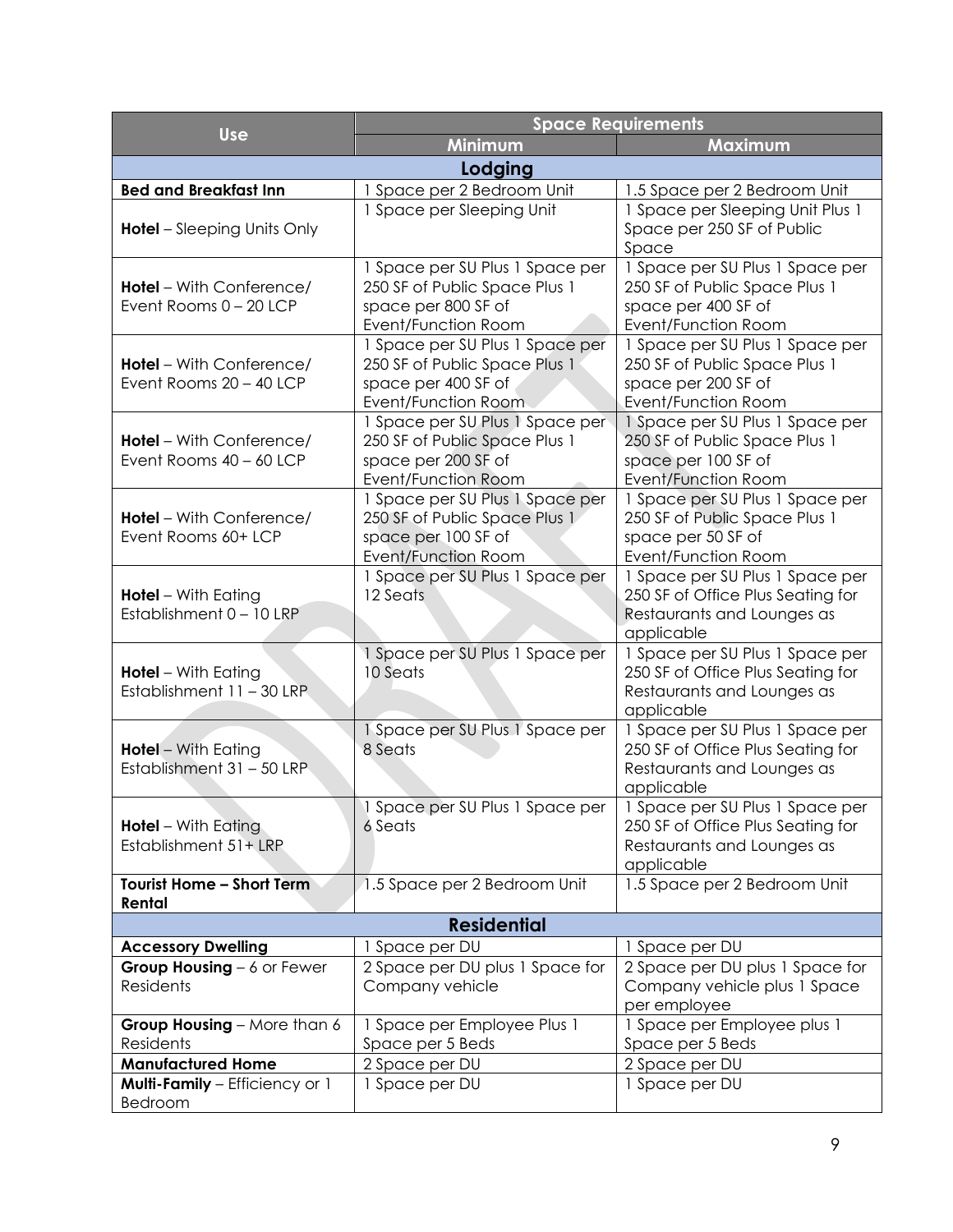|                                                                                                   | <b>Space Requirements</b>                                                                                             |                                                                                                                       |  |  |  |  |
|---------------------------------------------------------------------------------------------------|-----------------------------------------------------------------------------------------------------------------------|-----------------------------------------------------------------------------------------------------------------------|--|--|--|--|
| <b>Use</b>                                                                                        | <b>Minimum</b>                                                                                                        | Maximum                                                                                                               |  |  |  |  |
| Lodging                                                                                           |                                                                                                                       |                                                                                                                       |  |  |  |  |
| <b>Bed and Breakfast Inn</b>                                                                      | 1 Space per 2 Bedroom Unit                                                                                            | 1.5 Space per 2 Bedroom Unit                                                                                          |  |  |  |  |
| <b>Hotel</b> – Sleeping Units Only                                                                | 1 Space per Sleeping Unit                                                                                             | 1 Space per Sleeping Unit Plus 1<br>Space per 250 SF of Public<br>Space                                               |  |  |  |  |
| <b>Hotel</b> – With Conference/<br>Event Rooms 0 - 20 LCP                                         | 1 Space per SU Plus 1 Space per<br>250 SF of Public Space Plus 1<br>space per 800 SF of<br>Event/Function Room        | 1 Space per SU Plus 1 Space per<br>250 SF of Public Space Plus 1<br>space per 400 SF of<br>Event/Function Room        |  |  |  |  |
| <b>Hotel</b> – With Conference/<br>Event Rooms 20 - 40 LCP                                        | 1 Space per SU Plus 1 Space per<br>250 SF of Public Space Plus 1<br>space per 400 SF of<br>Event/Function Room        | 1 Space per SU Plus 1 Space per<br>250 SF of Public Space Plus 1<br>space per 200 SF of<br><b>Event/Function Room</b> |  |  |  |  |
| <b>Hotel</b> – With Conference/<br>Event Rooms 40 - 60 LCP                                        | 1 Space per SU Plus 1 Space per<br>250 SF of Public Space Plus 1<br>space per 200 SF of<br><b>Event/Function Room</b> | 1 Space per SU Plus 1 Space per<br>250 SF of Public Space Plus 1<br>space per 100 SF of<br><b>Event/Function Room</b> |  |  |  |  |
| <b>Hotel</b> – With Conference/<br>Event Rooms 60+ LCP                                            | 1 Space per SU Plus 1 Space per<br>250 SF of Public Space Plus 1<br>space per 100 SF of<br><b>Event/Function Room</b> | 1 Space per SU Plus 1 Space per<br>250 SF of Public Space Plus 1<br>space per 50 SF of<br>Event/Function Room         |  |  |  |  |
| <b>Hotel</b> - With Eating<br>Establishment 0 - 10 LRP                                            | 1 Space per SU Plus 1 Space per<br>12 Seats                                                                           | 1 Space per SU Plus 1 Space per<br>250 SF of Office Plus Seating for<br>Restaurants and Lounges as<br>applicable      |  |  |  |  |
| <b>Hotel</b> - With Eating<br>Establishment 11 - 30 LRP.                                          | 1 Space per SU Plus 1 Space per<br>10 Seats                                                                           | 1 Space per SU Plus 1 Space per<br>250 SF of Office Plus Seating for<br>Restaurants and Lounges as<br>applicable      |  |  |  |  |
| <b>Hotel</b> - With Eating<br>Establishment 31 - 50 LRP                                           | 1 Space per SU Plus 1 Space per<br>8 Seats                                                                            | 1 Space per SU Plus 1 Space per<br>250 SF of Office Plus Seating for<br>Restaurants and Lounges as<br>applicable      |  |  |  |  |
| 1 Space per SU Plus 1 Space per<br><b>Hotel</b> – With Eating<br>6 Seats<br>Establishment 51+ LRP |                                                                                                                       | 1 Space per SU Plus 1 Space per<br>250 SF of Office Plus Seating for<br>Restaurants and Lounges as<br>applicable      |  |  |  |  |
| Tourist Home - Short Term<br>Rental                                                               | 1.5 Space per 2 Bedroom Unit                                                                                          | 1.5 Space per 2 Bedroom Unit                                                                                          |  |  |  |  |
| <b>Residential</b>                                                                                |                                                                                                                       |                                                                                                                       |  |  |  |  |
| <b>Accessory Dwelling</b>                                                                         | 1 Space per DU                                                                                                        | 1 Space per DU                                                                                                        |  |  |  |  |
| Group Housing - 6 or Fewer<br><b>Residents</b>                                                    | 2 Space per DU plus 1 Space for<br>Company vehicle                                                                    | 2 Space per DU plus 1 Space for<br>Company vehicle plus 1 Space<br>per employee                                       |  |  |  |  |
| Group Housing - More than 6<br>Residents                                                          | 1 Space per Employee Plus 1<br>Space per 5 Beds                                                                       | 1 Space per Employee plus 1<br>Space per 5 Beds                                                                       |  |  |  |  |
| <b>Manufactured Home</b>                                                                          | 2 Space per DU                                                                                                        | 2 Space per DU                                                                                                        |  |  |  |  |
| Multi-Family - Efficiency or 1<br>Bedroom                                                         | 1 Space per DU                                                                                                        | 1 Space per DU                                                                                                        |  |  |  |  |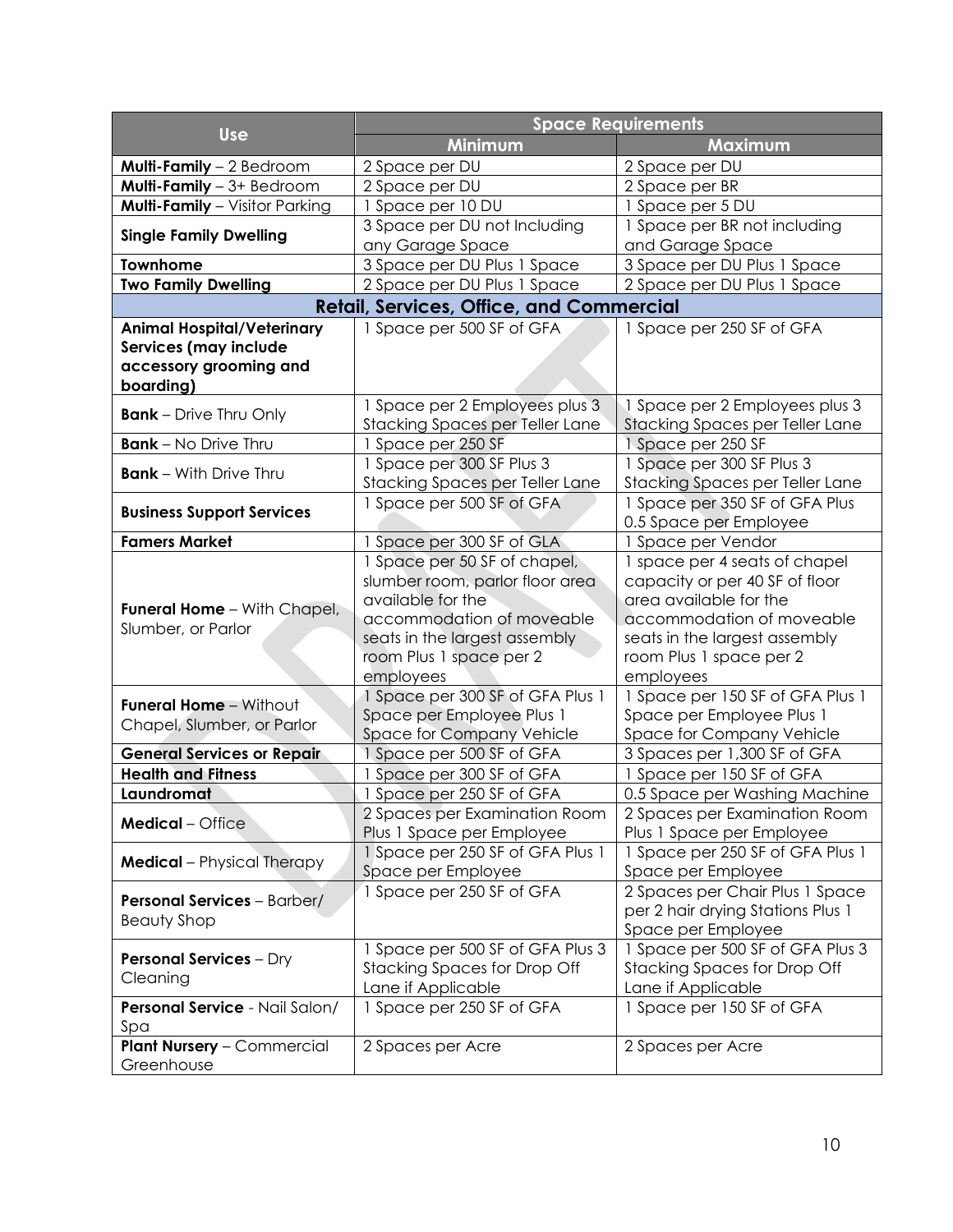|                                                                                                   | <b>Space Requirements</b>                                                                                                                                                                  |                                                                                                                                                                                                 |  |  |
|---------------------------------------------------------------------------------------------------|--------------------------------------------------------------------------------------------------------------------------------------------------------------------------------------------|-------------------------------------------------------------------------------------------------------------------------------------------------------------------------------------------------|--|--|
| <b>Use</b>                                                                                        | Minimum                                                                                                                                                                                    | Maximum                                                                                                                                                                                         |  |  |
| <b>Multi-Family</b> $-2$ Bedroom                                                                  | 2 Space per DU                                                                                                                                                                             | 2 Space per DU                                                                                                                                                                                  |  |  |
| Multi-Family - 3+ Bedroom                                                                         | 2 Space per DU                                                                                                                                                                             | 2 Space per BR                                                                                                                                                                                  |  |  |
| Multi-Family - Visitor Parking                                                                    | 1 Space per 10 DU                                                                                                                                                                          | 1 Space per 5 DU                                                                                                                                                                                |  |  |
| <b>Single Family Dwelling</b>                                                                     | 3 Space per DU not Including                                                                                                                                                               | 1 Space per BR not including                                                                                                                                                                    |  |  |
|                                                                                                   | any Garage Space                                                                                                                                                                           | and Garage Space                                                                                                                                                                                |  |  |
| <b>Townhome</b>                                                                                   | 3 Space per DU Plus 1 Space                                                                                                                                                                | 3 Space per DU Plus 1 Space                                                                                                                                                                     |  |  |
| <b>Two Family Dwelling</b>                                                                        | 2 Space per DU Plus 1 Space                                                                                                                                                                | 2 Space per DU Plus 1 Space                                                                                                                                                                     |  |  |
|                                                                                                   | <b>Retail, Services, Office, and Commercial</b>                                                                                                                                            |                                                                                                                                                                                                 |  |  |
| <b>Animal Hospital/Veterinary</b><br>Services (may include<br>accessory grooming and<br>boarding) | 1 Space per 500 SF of GFA                                                                                                                                                                  | 1 Space per 250 SF of GFA                                                                                                                                                                       |  |  |
| <b>Bank</b> – Drive Thru Only                                                                     | 1 Space per 2 Employees plus 3<br><b>Stacking Spaces per Teller Lane</b>                                                                                                                   | 1 Space per 2 Employees plus 3<br>Stacking Spaces per Teller Lane                                                                                                                               |  |  |
| <b>Bank</b> - No Drive Thru                                                                       | 1 Space per 250 SF                                                                                                                                                                         | 1 Space per 250 SF                                                                                                                                                                              |  |  |
| <b>Bank</b> - With Drive Thru                                                                     | 1 Space per 300 SF Plus 3                                                                                                                                                                  | 1 Space per 300 SF Plus 3                                                                                                                                                                       |  |  |
|                                                                                                   | <b>Stacking Spaces per Teller Lane</b>                                                                                                                                                     | Stacking Spaces per Teller Lane                                                                                                                                                                 |  |  |
| <b>Business Support Services</b>                                                                  | 1 Space per 500 SF of GFA                                                                                                                                                                  | 1 Space per 350 SF of GFA Plus<br>0.5 Space per Employee                                                                                                                                        |  |  |
| <b>Famers Market</b>                                                                              | 1 Space per 300 SF of GLA                                                                                                                                                                  | 1 Space per Vendor                                                                                                                                                                              |  |  |
| <b>Funeral Home - With Chapel,</b><br>Slumber, or Parlor                                          | 1 Space per 50 SF of chapel,<br>slumber room, parlor floor area<br>available for the<br>accommodation of moveable<br>seats in the largest assembly<br>room Plus 1 space per 2<br>employees | 1 space per 4 seats of chapel<br>capacity or per 40 SF of floor<br>area available for the<br>accommodation of moveable<br>seats in the largest assembly<br>room Plus 1 space per 2<br>employees |  |  |
| <b>Funeral Home - Without</b>                                                                     | 1 Space per 300 SF of GFA Plus 1                                                                                                                                                           | 1 Space per 150 SF of GFA Plus 1                                                                                                                                                                |  |  |
| Chapel, Slumber, or Parlor                                                                        | Space per Employee Plus 1<br>Space for Company Vehicle                                                                                                                                     | Space per Employee Plus 1<br>Space for Company Vehicle                                                                                                                                          |  |  |
| <b>General Services or Repair</b>                                                                 | 1 Space per 500 SF of GFA                                                                                                                                                                  | 3 Spaces per 1,300 SF of GFA                                                                                                                                                                    |  |  |
| <b>Health and Fitness</b>                                                                         | 1 Space per 300 SF of GFA                                                                                                                                                                  | 1 Space per 150 SF of GFA                                                                                                                                                                       |  |  |
| Laundromat                                                                                        | 1 Space per 250 SF of GFA                                                                                                                                                                  | 0.5 Space per Washing Machine                                                                                                                                                                   |  |  |
| <b>Medical</b> - Office                                                                           | 2 Spaces per Examination Room<br>Plus 1 Space per Employee                                                                                                                                 | 2 Spaces per Examination Room<br>Plus 1 Space per Employee                                                                                                                                      |  |  |
| <b>Medical</b> - Physical Therapy                                                                 | 1 Space per 250 SF of GFA Plus 1<br>Space per Employee                                                                                                                                     | 1 Space per 250 SF of GFA Plus 1<br>Space per Employee                                                                                                                                          |  |  |
| <b>Personal Services - Barber/</b><br><b>Beauty Shop</b>                                          | 1 Space per 250 SF of GFA                                                                                                                                                                  | 2 Spaces per Chair Plus 1 Space<br>per 2 hair drying Stations Plus 1<br>Space per Employee                                                                                                      |  |  |
| <b>Personal Services - Dry</b><br>Cleaning                                                        | 1 Space per 500 SF of GFA Plus 3<br><b>Stacking Spaces for Drop Off</b><br>Lane if Applicable                                                                                              | 1 Space per 500 SF of GFA Plus 3<br><b>Stacking Spaces for Drop Off</b><br>Lane if Applicable                                                                                                   |  |  |
| Personal Service - Nail Salon/<br>Spa                                                             | 1 Space per 250 SF of GFA                                                                                                                                                                  | 1 Space per 150 SF of GFA                                                                                                                                                                       |  |  |
| <b>Plant Nursery - Commercial</b><br>Greenhouse                                                   | 2 Spaces per Acre                                                                                                                                                                          | 2 Spaces per Acre                                                                                                                                                                               |  |  |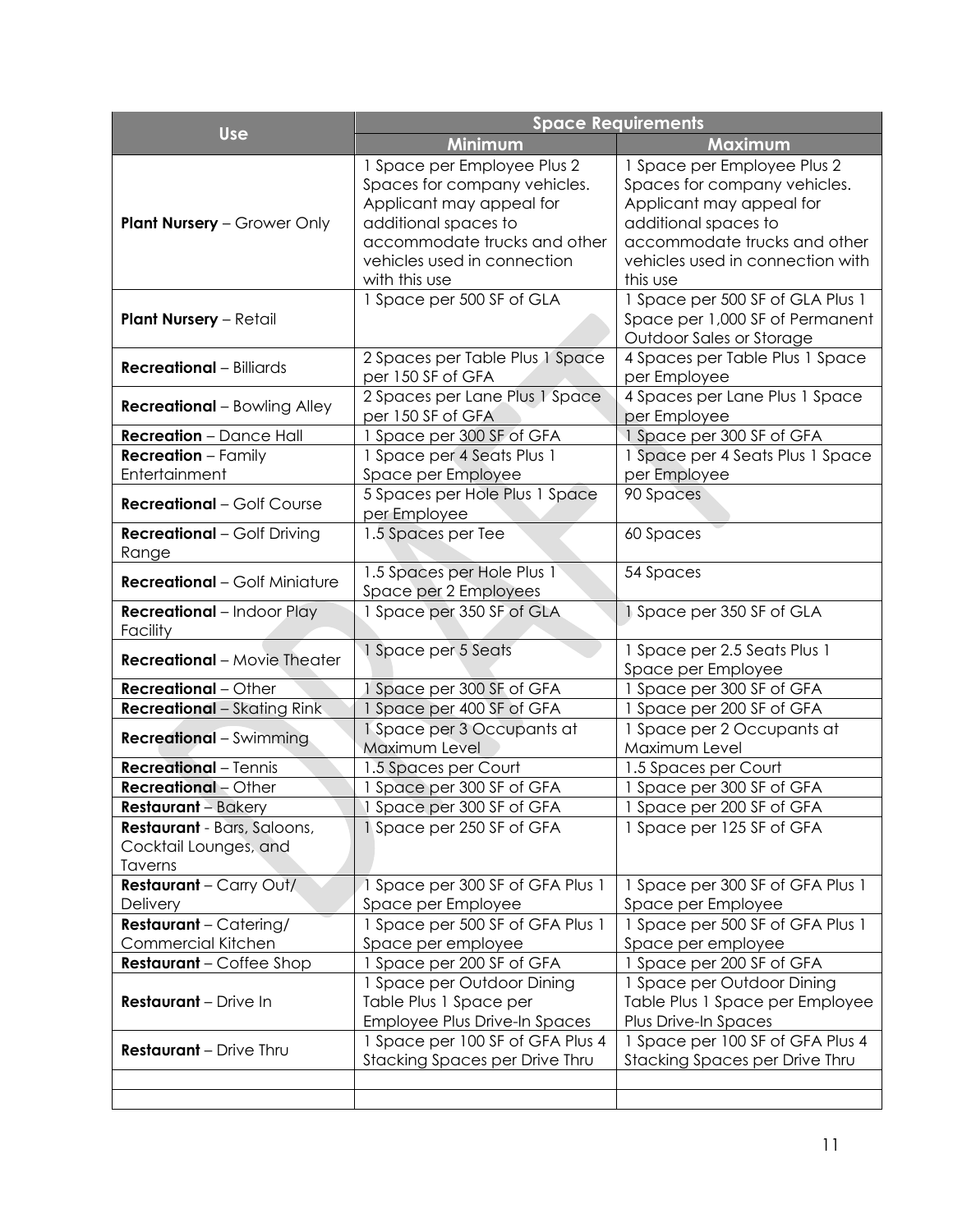|                                                                        | <b>Space Requirements</b>                                                                                                                                                                       |                                                                                                                                                                                                 |  |  |  |
|------------------------------------------------------------------------|-------------------------------------------------------------------------------------------------------------------------------------------------------------------------------------------------|-------------------------------------------------------------------------------------------------------------------------------------------------------------------------------------------------|--|--|--|
| <b>Use</b>                                                             | Minimum                                                                                                                                                                                         | Maximum                                                                                                                                                                                         |  |  |  |
| <b>Plant Nursery - Grower Only</b>                                     | 1 Space per Employee Plus 2<br>Spaces for company vehicles.<br>Applicant may appeal for<br>additional spaces to<br>accommodate trucks and other<br>vehicles used in connection<br>with this use | 1 Space per Employee Plus 2<br>Spaces for company vehicles.<br>Applicant may appeal for<br>additional spaces to<br>accommodate trucks and other<br>vehicles used in connection with<br>this use |  |  |  |
| <b>Plant Nursery - Retail</b>                                          | 1 Space per 500 SF of GLA                                                                                                                                                                       | 1 Space per 500 SF of GLA Plus 1<br>Space per 1,000 SF of Permanent<br>Outdoor Sales or Storage                                                                                                 |  |  |  |
| <b>Recreational</b> - Billiards                                        | 2 Spaces per Table Plus 1 Space<br>per 150 SF of GFA                                                                                                                                            | 4 Spaces per Table Plus 1 Space<br>per Employee                                                                                                                                                 |  |  |  |
| <b>Recreational</b> – Bowling Alley                                    | 2 Spaces per Lane Plus 1 Space<br>per 150 SF of GFA                                                                                                                                             | 4 Spaces per Lane Plus 1 Space<br>per Employee                                                                                                                                                  |  |  |  |
| <b>Recreation</b> - Dance Hall                                         | 1 Space per 300 SF of GFA                                                                                                                                                                       | 1 Space per 300 SF of GFA                                                                                                                                                                       |  |  |  |
| <b>Recreation</b> - Family<br>Entertainment                            | 1 Space per 4 Seats Plus 1<br>Space per Employee                                                                                                                                                | 1 Space per 4 Seats Plus 1 Space<br>per Employee                                                                                                                                                |  |  |  |
| <b>Recreational - Golf Course</b>                                      | 5 Spaces per Hole Plus 1 Space<br>per Employee                                                                                                                                                  | 90 Spaces                                                                                                                                                                                       |  |  |  |
| <b>Recreational</b> - Golf Driving<br>Range                            | 1.5 Spaces per Tee                                                                                                                                                                              | 60 Spaces                                                                                                                                                                                       |  |  |  |
| <b>Recreational</b> - Golf Miniature                                   | 1.5 Spaces per Hole Plus 1<br>Space per 2 Employees                                                                                                                                             | 54 Spaces                                                                                                                                                                                       |  |  |  |
| Recreational - Indoor Play<br>Facility                                 | 1 Space per 350 SF of GLA                                                                                                                                                                       | 1 Space per 350 SF of GLA                                                                                                                                                                       |  |  |  |
| <b>Recreational</b> – Movie Theater                                    | 1 Space per 5 Seats                                                                                                                                                                             | 1 Space per 2.5 Seats Plus 1<br>Space per Employee                                                                                                                                              |  |  |  |
| <b>Recreational</b> - Other                                            | 1 Space per 300 SF of GFA                                                                                                                                                                       | 1 Space per 300 SF of GFA                                                                                                                                                                       |  |  |  |
| <b>Recreational</b> - Skating Rink                                     | 1 Space per 400 SF of GFA                                                                                                                                                                       | 1 Space per 200 SF of GFA                                                                                                                                                                       |  |  |  |
| <b>Recreational</b> - Swimming                                         | 1 Space per 3 Occupants at<br>Maximum Level                                                                                                                                                     | 1 Space per 2 Occupants at<br>Maximum Level                                                                                                                                                     |  |  |  |
| <b>Recreational</b> - Tennis                                           | 1.5 Spaces per Court                                                                                                                                                                            | 1.5 Spaces per Court                                                                                                                                                                            |  |  |  |
| <b>Recreational</b> - Other                                            | 1 Space per 300 SF of GFA                                                                                                                                                                       | 1 Space per 300 SF of GFA                                                                                                                                                                       |  |  |  |
| <b>Restaurant</b> – Bakery                                             | 1 Space per 300 SF of GFA                                                                                                                                                                       | 1 Space per 200 SF of GFA                                                                                                                                                                       |  |  |  |
| <b>Restaurant</b> - Bars, Saloons,<br>Cocktail Lounges, and<br>Taverns | 1 Space per 250 SF of GFA                                                                                                                                                                       | 1 Space per 125 SF of GFA                                                                                                                                                                       |  |  |  |
| <b>Restaurant</b> - Carry Out/<br>Delivery                             | 1 Space per 300 SF of GFA Plus 1<br>Space per Employee                                                                                                                                          | 1 Space per 300 SF of GFA Plus 1<br>Space per Employee                                                                                                                                          |  |  |  |
| <b>Restaurant</b> - Catering/                                          | 1 Space per 500 SF of GFA Plus 1                                                                                                                                                                | 1 Space per 500 SF of GFA Plus 1                                                                                                                                                                |  |  |  |
| Commercial Kitchen                                                     | Space per employee                                                                                                                                                                              | Space per employee                                                                                                                                                                              |  |  |  |
| <b>Restaurant</b> – Coffee Shop                                        | 1 Space per 200 SF of GFA                                                                                                                                                                       | 1 Space per 200 SF of GFA<br>1 Space per Outdoor Dining                                                                                                                                         |  |  |  |
| Restaurant - Drive In                                                  | 1 Space per Outdoor Dining<br>Table Plus 1 Space per<br><b>Employee Plus Drive-In Spaces</b>                                                                                                    |                                                                                                                                                                                                 |  |  |  |
| Restaurant - Drive Thru                                                | 1 Space per 100 SF of GFA Plus 4<br>Stacking Spaces per Drive Thru                                                                                                                              | 1 Space per 100 SF of GFA Plus 4<br>Stacking Spaces per Drive Thru                                                                                                                              |  |  |  |
|                                                                        |                                                                                                                                                                                                 |                                                                                                                                                                                                 |  |  |  |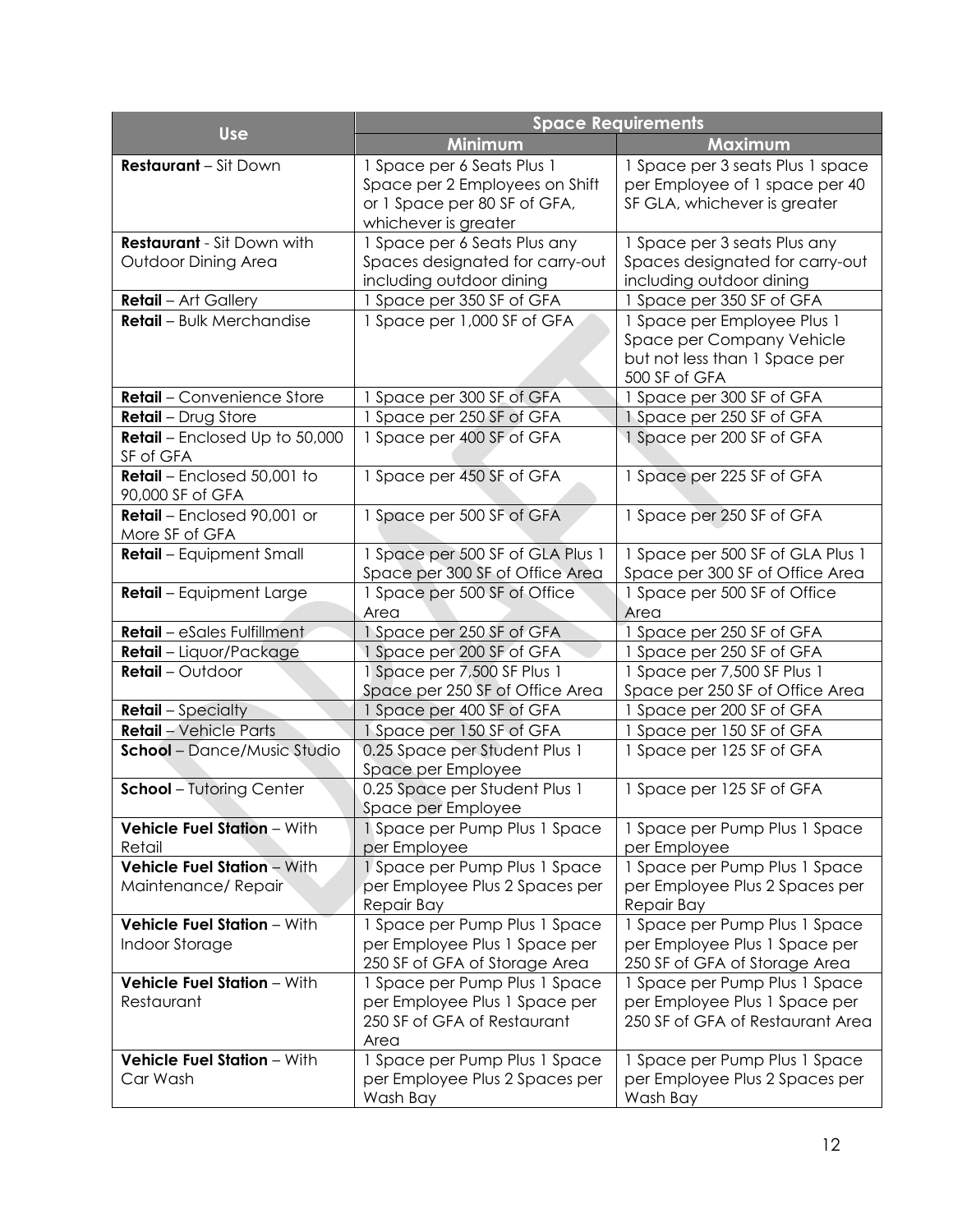| <b>Use</b>                                               | <b>Space Requirements</b>                                                                                            |                                                                                                            |  |  |  |
|----------------------------------------------------------|----------------------------------------------------------------------------------------------------------------------|------------------------------------------------------------------------------------------------------------|--|--|--|
|                                                          | Minimum                                                                                                              | Maximum                                                                                                    |  |  |  |
| <b>Restaurant - Sit Down</b>                             | 1 Space per 6 Seats Plus 1<br>Space per 2 Employees on Shift<br>or 1 Space per 80 SF of GFA,<br>whichever is greater | 1 Space per 3 seats Plus 1 space<br>per Employee of 1 space per 40<br>SF GLA, whichever is greater         |  |  |  |
| <b>Restaurant</b> - Sit Down with<br>Outdoor Dining Area | 1 Space per 6 Seats Plus any<br>Spaces designated for carry-out<br>including outdoor dining                          | 1 Space per 3 seats Plus any<br>Spaces designated for carry-out<br>including outdoor dining                |  |  |  |
| <b>Retail</b> - Art Gallery                              | 1 Space per 350 SF of GFA                                                                                            | Space per 350 SF of GFA                                                                                    |  |  |  |
| Retail - Bulk Merchandise                                | 1 Space per 1,000 SF of GFA                                                                                          | 1 Space per Employee Plus 1<br>Space per Company Vehicle<br>but not less than 1 Space per<br>500 SF of GFA |  |  |  |
| Retail - Convenience Store                               | Space per 300 SF of GFA                                                                                              | Space per 300 SF of GFA                                                                                    |  |  |  |
| Retail - Drug Store                                      | Space per 250 SF of GFA                                                                                              | 1 Space per 250 SF of GFA                                                                                  |  |  |  |
| Retail - Enclosed Up to 50,000<br>SF of GFA              | 1 Space per 400 SF of GFA                                                                                            | 1 Space per 200 SF of GFA                                                                                  |  |  |  |
| Retail - Enclosed 50,001 to<br>90,000 SF of GFA          | 1 Space per 450 SF of GFA                                                                                            | 1 Space per 225 SF of GFA                                                                                  |  |  |  |
| Retail - Enclosed 90,001 or<br>More SF of GFA            | 1 Space per 500 SF of GFA                                                                                            | 1 Space per 250 SF of GFA                                                                                  |  |  |  |
| Retail - Equipment Small                                 | 1 Space per 500 SF of GLA Plus 1<br>Space per 300 SF of Office Area                                                  | 1 Space per 500 SF of GLA Plus 1<br>Space per 300 SF of Office Area                                        |  |  |  |
| Retail - Equipment Large                                 | 1 Space per 500 SF of Office<br>Area                                                                                 | 1 Space per 500 SF of Office<br>Area                                                                       |  |  |  |
| Retail - eSales Fulfillment                              | 1 Space per 250 SF of GFA                                                                                            | Space per 250 SF of GFA                                                                                    |  |  |  |
| Retail - Liquor/Package                                  | 1 Space per 200 SF of GFA                                                                                            | Space per 250 SF of GFA                                                                                    |  |  |  |
| <b>Retail</b> - Outdoor                                  | 1 Space per 7,500 SF Plus 1<br>Space per 250 SF of Office Area                                                       | Space per 7,500 SF Plus 1<br>Space per 250 SF of Office Area                                               |  |  |  |
| <b>Retail</b> – Specialty                                | Space per 400 SF of GFA                                                                                              | Space per 200 SF of GFA                                                                                    |  |  |  |
| Retail - Vehicle Parts                                   | 1 Space per 150 SF of GFA                                                                                            | Space per 150 SF of GFA                                                                                    |  |  |  |
| <b>School</b> - Dance/Music Studio                       | 0.25 Space per Student Plus 1<br>Space per Employee                                                                  | 1 Space per 125 SF of GFA                                                                                  |  |  |  |
| <b>School</b> - Tutoring Center                          | 0.25 Space per Student Plus 1<br>Space per Employee                                                                  | 1 Space per 125 SF of GFA                                                                                  |  |  |  |
| Vehicle Fuel Station - With<br>Retail                    | 1 Space per Pump Plus 1 Space<br>per Employee                                                                        | 1 Space per Pump Plus 1 Space<br>per Employee                                                              |  |  |  |
| Vehicle Fuel Station - With<br>Maintenance/Repair        | 1 Space per Pump Plus 1 Space<br>per Employee Plus 2 Spaces per                                                      | 1 Space per Pump Plus 1 Space<br>per Employee Plus 2 Spaces per                                            |  |  |  |
|                                                          | Repair Bay                                                                                                           | Repair Bay                                                                                                 |  |  |  |
| Vehicle Fuel Station - With                              | 1 Space per Pump Plus 1 Space                                                                                        | 1 Space per Pump Plus 1 Space                                                                              |  |  |  |
| Indoor Storage                                           | per Employee Plus 1 Space per<br>250 SF of GFA of Storage Area                                                       | per Employee Plus 1 Space per<br>250 SF of GFA of Storage Area                                             |  |  |  |
| Vehicle Fuel Station - With                              | 1 Space per Pump Plus 1 Space                                                                                        | 1 Space per Pump Plus 1 Space                                                                              |  |  |  |
| Restaurant                                               | per Employee Plus 1 Space per<br>250 SF of GFA of Restaurant<br>Area                                                 | per Employee Plus 1 Space per<br>250 SF of GFA of Restaurant Area                                          |  |  |  |
| Vehicle Fuel Station - With                              | 1 Space per Pump Plus 1 Space                                                                                        | 1 Space per Pump Plus 1 Space                                                                              |  |  |  |
| Car Wash                                                 | per Employee Plus 2 Spaces per<br>Wash Bay                                                                           | per Employee Plus 2 Spaces per<br>Wash Bay                                                                 |  |  |  |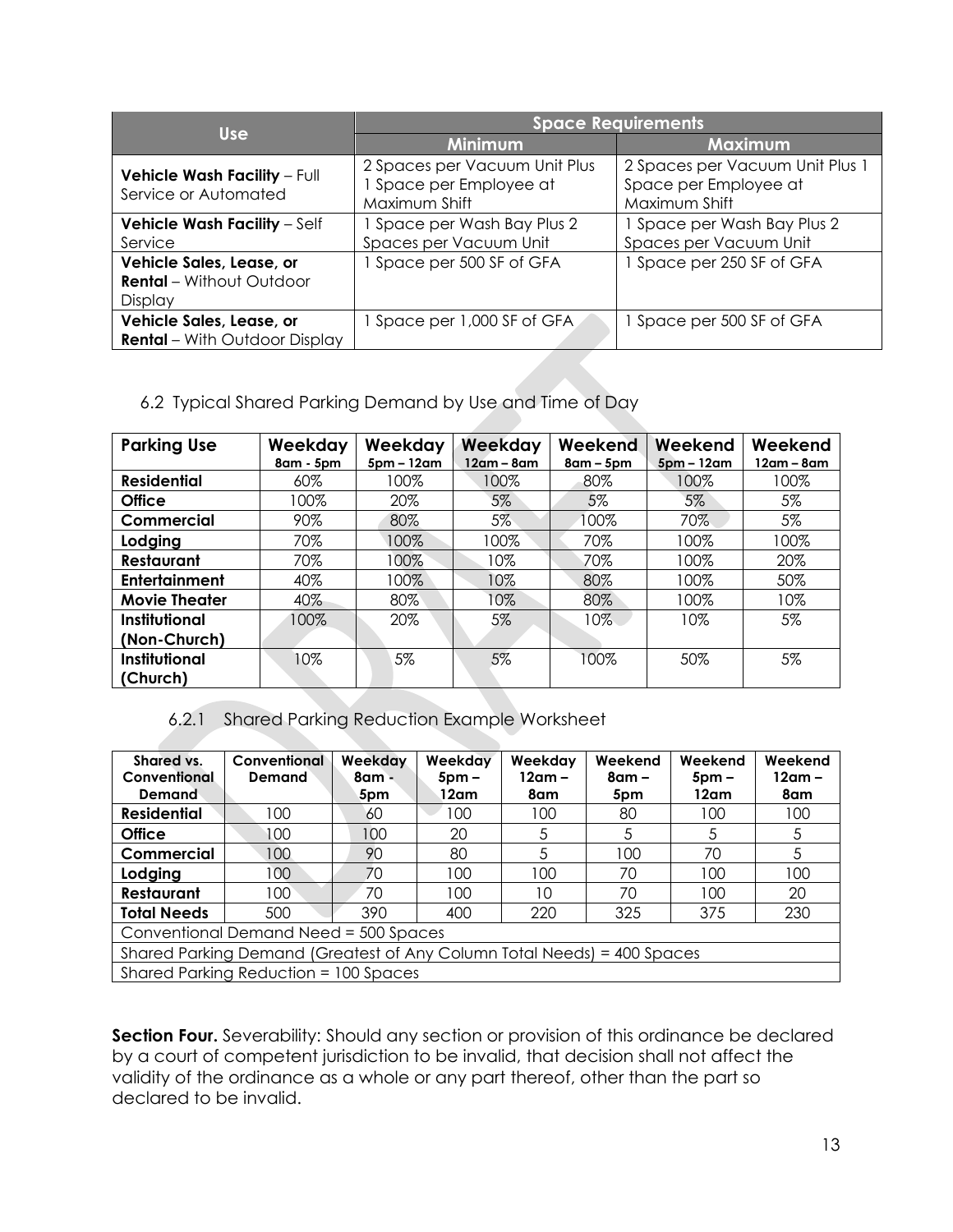|                                                                        | <b>Space Requirements</b>                                               |                                                                           |  |  |
|------------------------------------------------------------------------|-------------------------------------------------------------------------|---------------------------------------------------------------------------|--|--|
| <b>Use</b>                                                             | <b>Minimum</b>                                                          | Maximum                                                                   |  |  |
| <b>Vehicle Wash Facility - Full</b><br>Service or Automated            | 2 Spaces per Vacuum Unit Plus<br>Space per Employee at<br>Maximum Shift | 2 Spaces per Vacuum Unit Plus 1<br>Space per Employee at<br>Maximum Shift |  |  |
| <b>Vehicle Wash Facility - Self</b>                                    | I Space per Wash Bay Plus 2                                             | 1 Space per Wash Bay Plus 2                                               |  |  |
| Service                                                                | Spaces per Vacuum Unit                                                  | Spaces per Vacuum Unit                                                    |  |  |
| Vehicle Sales, Lease, or<br><b>Rental</b> - Without Outdoor<br>Display | Space per 500 SF of GFA                                                 | 1 Space per 250 SF of GFA                                                 |  |  |
| Vehicle Sales, Lease, or<br><b>Rental</b> – With Outdoor Display       | Space per 1,000 SF of GFA                                               | Space per 500 SF of GFA                                                   |  |  |

# 6.2 Typical Shared Parking Demand by Use and Time of Day

| <b>Parking Use</b>               | Weekday<br>8am - 5pm | Weekday<br>Weekday<br>$12am - 8am$<br>$5pm - 12am$ |       | Weekend<br>$8am - 5pm$ | Weekend<br>$5pm - 12am$ | Weekend<br>12am – 8am |
|----------------------------------|----------------------|----------------------------------------------------|-------|------------------------|-------------------------|-----------------------|
| <b>Residential</b>               | 60%                  | 100%                                               | 100%  | 80%                    | 100%                    | 100%                  |
| <b>Office</b>                    | 100%                 | 20%                                                | 5%    | 5%                     | 5%                      | 5%                    |
| Commercial                       | 90%                  | 80%                                                | $5\%$ | 100%                   | 70%                     | 5%                    |
| Lodging                          | 70%                  | 100%                                               | 100%  | 70%                    | 100%                    | 100%                  |
| <b>Restaurant</b>                | 70%                  | 100%                                               | 10%   | 70%                    | 100%                    | 20%                   |
| <b>Entertainment</b>             | 40%                  | 100%                                               | 10%   | 80%                    | 100%                    | 50%                   |
| <b>Movie Theater</b>             | 40%                  | 80%                                                | 10%   | 80%                    | 100%                    | 10%                   |
| Institutional<br>(Non-Church)    | 100%                 | 20%                                                | 5%    | $10\%$                 | 10%                     | 5%                    |
| <b>Institutional</b><br>(Church) | 10%                  | 5%                                                 | 5%    | 100%                   | 50%                     | 5%                    |

## 6.2.1 Shared Parking Reduction Example Worksheet

| Shared vs.                                                              | Conventional | Weekday | Weekday         | Weekday  | Weekend  | Weekend         | Weekend |
|-------------------------------------------------------------------------|--------------|---------|-----------------|----------|----------|-----------------|---------|
| Conventional                                                            | Demand       | 8am -   | 5 <sub>pm</sub> | $12am -$ | $8$ am – | 5 <sub>pm</sub> | 12am –  |
| Demand                                                                  |              | 5pm     | 12am            | 8am      | 5pm      | 12am            | 8am     |
| <b>Residential</b>                                                      | 100          | 60      | 100             | 100      | 80       | 100             | 100     |
| <b>Office</b>                                                           | 100          | 100     | 20              | 5        | 5        | 5               | 5       |
| Commercial                                                              | 100          | 90      | 80              | 5        | 100      | 70              | 5       |
| Lodging                                                                 | 100          | 70      | 100             | 100      | 70       | 100             | 100     |
| Restaurant                                                              | 100          | 70      | 100             | 10       | 70       | 100             | 20      |
| <b>Total Needs</b>                                                      | 500          | 390     | 400             | 220      | 325      | 375             | 230     |
| Conventional Demand Need = 500 Spaces                                   |              |         |                 |          |          |                 |         |
| Shared Parking Demand (Greatest of Any Column Total Needs) = 400 Spaces |              |         |                 |          |          |                 |         |
| Shared Parking Reduction = 100 Spaces                                   |              |         |                 |          |          |                 |         |

**Section Four.** Severability: Should any section or provision of this ordinance be declared by a court of competent jurisdiction to be invalid, that decision shall not affect the validity of the ordinance as a whole or any part thereof, other than the part so declared to be invalid.